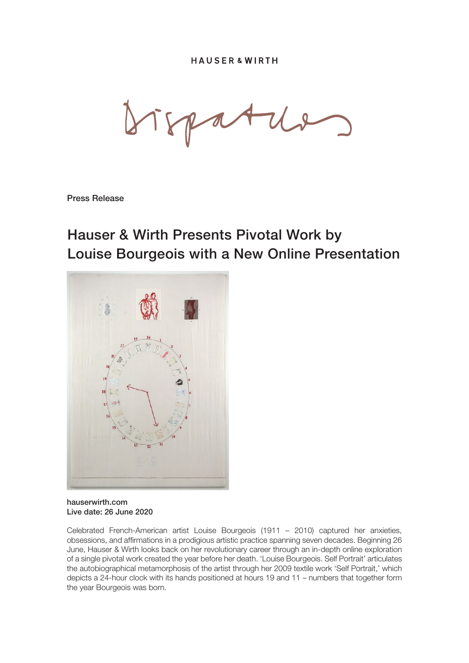Press Release

## Hauser & Wirth Presents Pivotal Work by Louise Bourgeois with a New Online Presentation



hauserwirth.com Live date: 26 June 2020

Celebrated French-American artist Louise Bourgeois (1911 – 2010) captured her anxieties, obsessions, and affirmations in a prodigious artistic practice spanning seven decades. Beginning 26 June, Hauser & Wirth looks back on her revolutionary career through an in-depth online exploration of a single pivotal work created the year before her death. 'Louise Bourgeois. Self Portrait' articulates the autobiographical metamorphosis of the artist through her 2009 textile work 'Self Portrait,' which depicts a 24-hour clock with its hands positioned at hours 19 and 11 – numbers that together form the year Bourgeois was born.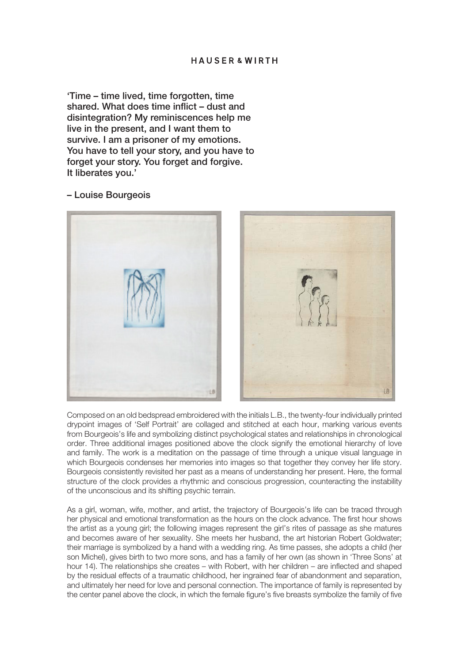'Time – time lived, time forgotten, time shared. What does time inflict – dust and disintegration? My reminiscences help me live in the present, and I want them to survive. I am a prisoner of my emotions. You have to tell your story, and you have to forget your story. You forget and forgive. It liberates you.'

– Louise Bourgeois



Composed on an old bedspread embroidered with the initials L.B., the twenty-four individually printed drypoint images of 'Self Portrait' are collaged and stitched at each hour, marking various events from Bourgeois's life and symbolizing distinct psychological states and relationships in chronological order. Three additional images positioned above the clock signify the emotional hierarchy of love and family. The work is a meditation on the passage of time through a unique visual language in which Bourgeois condenses her memories into images so that together they convey her life story. Bourgeois consistently revisited her past as a means of understanding her present. Here, the formal structure of the clock provides a rhythmic and conscious progression, counteracting the instability of the unconscious and its shifting psychic terrain.

As a girl, woman, wife, mother, and artist, the trajectory of Bourgeois's life can be traced through her physical and emotional transformation as the hours on the clock advance. The first hour shows the artist as a young girl; the following images represent the girl's rites of passage as she matures and becomes aware of her sexuality. She meets her husband, the art historian Robert Goldwater; their marriage is symbolized by a hand with a wedding ring. As time passes, she adopts a child (her son Michel), gives birth to two more sons, and has a family of her own (as shown in 'Three Sons' at hour 14). The relationships she creates – with Robert, with her children – are inflected and shaped by the residual effects of a traumatic childhood, her ingrained fear of abandonment and separation, and ultimately her need for love and personal connection. The importance of family is represented by the center panel above the clock, in which the female figure's five breasts symbolize the family of five